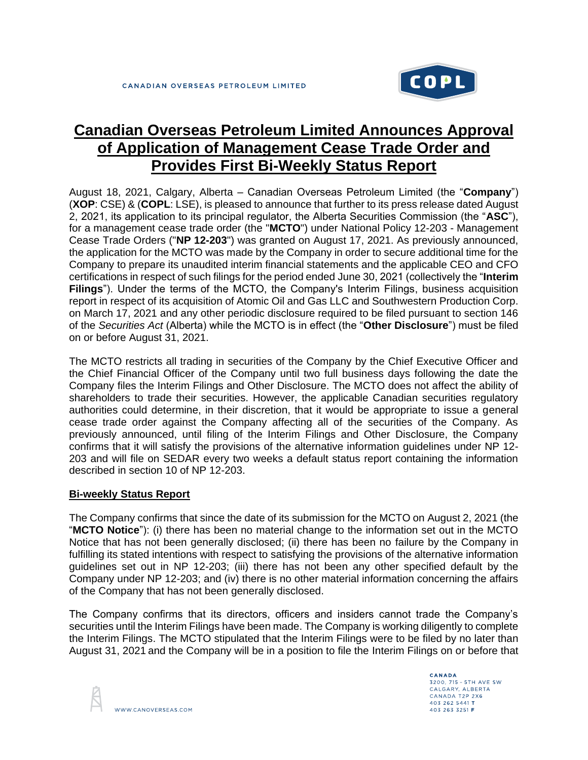

# **Canadian Overseas Petroleum Limited Announces Approval of Application of Management Cease Trade Order and Provides First Bi-Weekly Status Report**

August 18, 2021, Calgary, Alberta – Canadian Overseas Petroleum Limited (the "**Company**") (**XOP**: CSE) & (**COPL**: LSE), is pleased to announce that further to its press release dated August 2, 2021, its application to its principal regulator, the Alberta Securities Commission (the "**ASC**"), for a management cease trade order (the "**MCTO**") under National Policy 12-203 - Management Cease Trade Orders ("**NP 12-203**") was granted on August 17, 2021. As previously announced, the application for the MCTO was made by the Company in order to secure additional time for the Company to prepare its unaudited interim financial statements and the applicable CEO and CFO certifications in respect of such filings for the period ended June 30, 2021 (collectively the "**Interim Filings**"). Under the terms of the MCTO, the Company's Interim Filings, business acquisition report in respect of its acquisition of Atomic Oil and Gas LLC and Southwestern Production Corp. on March 17, 2021 and any other periodic disclosure required to be filed pursuant to section 146 of the *Securities Act* (Alberta) while the MCTO is in effect (the "**Other Disclosure**") must be filed on or before August 31, 2021.

The MCTO restricts all trading in securities of the Company by the Chief Executive Officer and the Chief Financial Officer of the Company until two full business days following the date the Company files the Interim Filings and Other Disclosure. The MCTO does not affect the ability of shareholders to trade their securities. However, the applicable Canadian securities regulatory authorities could determine, in their discretion, that it would be appropriate to issue a general cease trade order against the Company affecting all of the securities of the Company. As previously announced, until filing of the Interim Filings and Other Disclosure, the Company confirms that it will satisfy the provisions of the alternative information guidelines under NP 12- 203 and will file on SEDAR every two weeks a default status report containing the information described in section 10 of NP 12-203.

## **Bi-weekly Status Report**

The Company confirms that since the date of its submission for the MCTO on August 2, 2021 (the "**MCTO Notice**"): (i) there has been no material change to the information set out in the MCTO Notice that has not been generally disclosed; (ii) there has been no failure by the Company in fulfilling its stated intentions with respect to satisfying the provisions of the alternative information guidelines set out in NP 12-203; (iii) there has not been any other specified default by the Company under NP 12-203; and (iv) there is no other material information concerning the affairs of the Company that has not been generally disclosed.

The Company confirms that its directors, officers and insiders cannot trade the Company's securities until the Interim Filings have been made. The Company is working diligently to complete the Interim Filings. The MCTO stipulated that the Interim Filings were to be filed by no later than August 31, 2021 and the Company will be in a position to file the Interim Filings on or before that



CANADA 3200, 715 - 5TH AVE SW CALGARY, ALBERTA CANADA T2P 2X6 403 262 5441 T 403 263 3251 F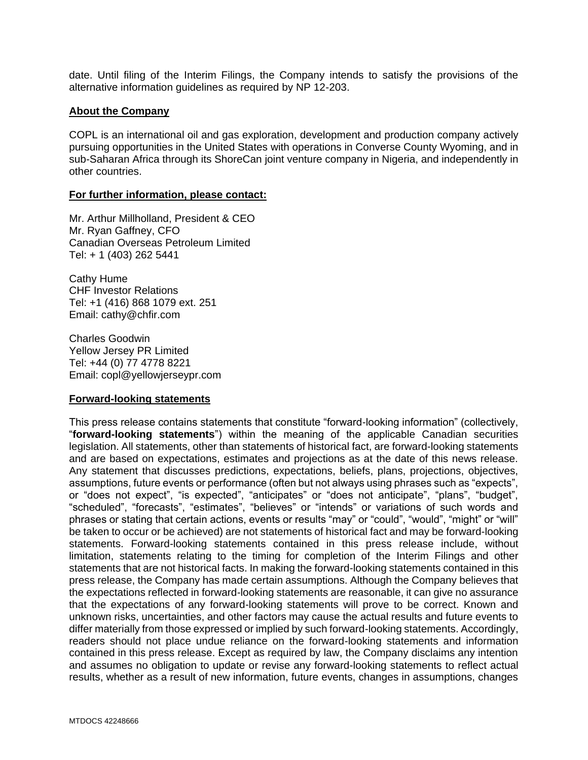date. Until filing of the Interim Filings, the Company intends to satisfy the provisions of the alternative information guidelines as required by NP 12-203.

### **About the Company**

COPL is an international oil and gas exploration, development and production company actively pursuing opportunities in the United States with operations in Converse County Wyoming, and in sub-Saharan Africa through its ShoreCan joint venture company in Nigeria, and independently in other countries.

#### **For further information, please contact:**

Mr. Arthur Millholland, President & CEO Mr. Ryan Gaffney, CFO Canadian Overseas Petroleum Limited Tel: + 1 (403) 262 5441

Cathy Hume CHF Investor Relations Tel: +1 (416) 868 1079 ext. 251 Email: cathy@chfir.com

Charles Goodwin Yellow Jersey PR Limited Tel: +44 (0) 77 4778 8221 Email: copl@yellowjerseypr.com

### **Forward-looking statements**

This press release contains statements that constitute "forward-looking information" (collectively, "**forward-looking statements**") within the meaning of the applicable Canadian securities legislation. All statements, other than statements of historical fact, are forward-looking statements and are based on expectations, estimates and projections as at the date of this news release. Any statement that discusses predictions, expectations, beliefs, plans, projections, objectives, assumptions, future events or performance (often but not always using phrases such as "expects", or "does not expect", "is expected", "anticipates" or "does not anticipate", "plans", "budget", "scheduled", "forecasts", "estimates", "believes" or "intends" or variations of such words and phrases or stating that certain actions, events or results "may" or "could", "would", "might" or "will" be taken to occur or be achieved) are not statements of historical fact and may be forward-looking statements. Forward-looking statements contained in this press release include, without limitation, statements relating to the timing for completion of the Interim Filings and other statements that are not historical facts. In making the forward-looking statements contained in this press release, the Company has made certain assumptions. Although the Company believes that the expectations reflected in forward-looking statements are reasonable, it can give no assurance that the expectations of any forward-looking statements will prove to be correct. Known and unknown risks, uncertainties, and other factors may cause the actual results and future events to differ materially from those expressed or implied by such forward-looking statements. Accordingly, readers should not place undue reliance on the forward-looking statements and information contained in this press release. Except as required by law, the Company disclaims any intention and assumes no obligation to update or revise any forward-looking statements to reflect actual results, whether as a result of new information, future events, changes in assumptions, changes